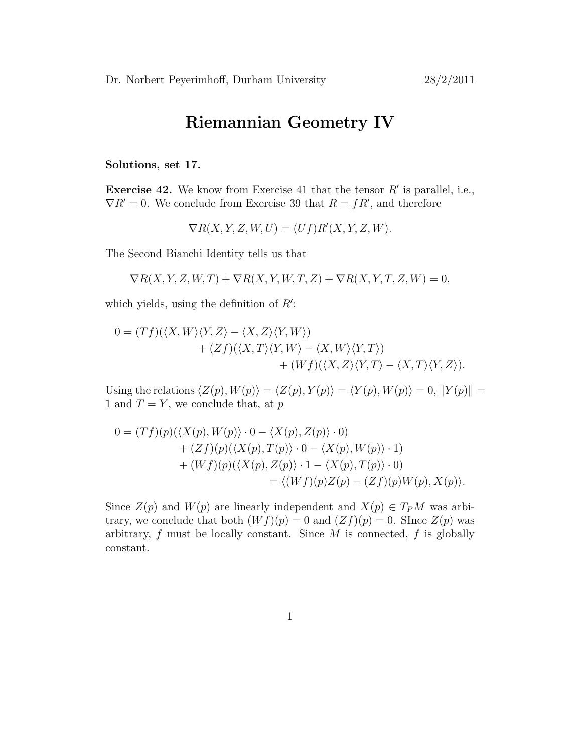# Riemannian Geometry IV

Solutions, set 17.

**Exercise 42.** We know from Exercise 41 that the tensor  $R'$  is parallel, i.e.,  $\nabla R' = 0$ . We conclude from Exercise 39 that  $R = fR'$ , and therefore

 $\nabla R(X, Y, Z, W, U) = (Uf)R'(X, Y, Z, W).$ 

The Second Bianchi Identity tells us that

$$
\nabla R(X, Y, Z, W, T) + \nabla R(X, Y, W, T, Z) + \nabla R(X, Y, T, Z, W) = 0,
$$

which yields, using the definition of  $R'$ :

$$
0 = (Tf)(\langle X, W \rangle \langle Y, Z \rangle - \langle X, Z \rangle \langle Y, W \rangle) + (Zf)(\langle X, T \rangle \langle Y, W \rangle - \langle X, W \rangle \langle Y, T \rangle) + (Wf)(\langle X, Z \rangle \langle Y, T \rangle - \langle X, T \rangle \langle Y, Z \rangle).
$$

Using the relations  $\langle Z(p), W(p)\rangle = \langle Z(p), Y(p)\rangle = \langle Y(p), W(p)\rangle = 0, ||Y(p)|| =$ 1 and  $T = Y$ , we conclude that, at p

$$
0 = (Tf)(p)(\langle X(p), W(p) \rangle \cdot 0 - \langle X(p), Z(p) \rangle \cdot 0)
$$
  
+ 
$$
(Zf)(p)(\langle X(p), T(p) \rangle \cdot 0 - \langle X(p), W(p) \rangle \cdot 1)
$$
  
+ 
$$
(Wf)(p)(\langle X(p), Z(p) \rangle \cdot 1 - \langle X(p), T(p) \rangle \cdot 0)
$$
  
= 
$$
\langle (Wf)(p)Z(p) - (Zf)(p)W(p), X(p) \rangle.
$$

Since  $Z(p)$  and  $W(p)$  are linearly independent and  $X(p) \in T_P M$  was arbitrary, we conclude that both  $(Wf)(p) = 0$  and  $(Zf)(p) = 0$ . Since  $Z(p)$  was arbitrary,  $f$  must be locally constant. Since  $M$  is connected,  $f$  is globally constant.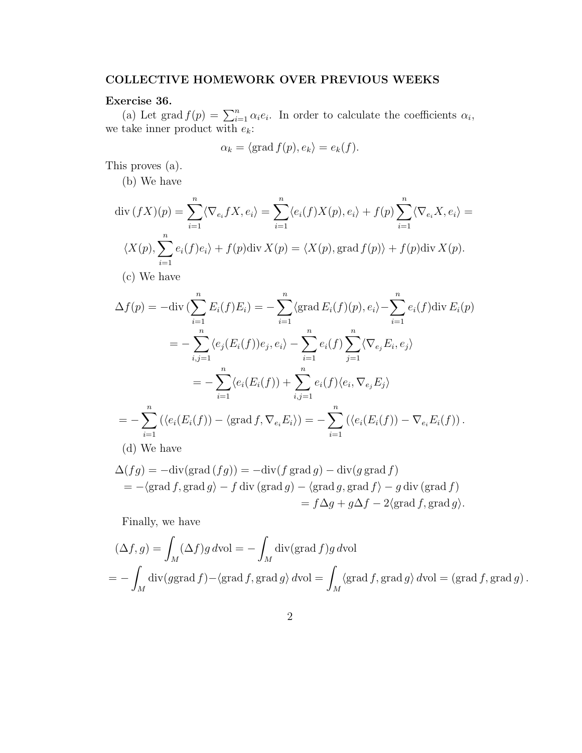## COLLECTIVE HOMEWORK OVER PREVIOUS WEEKS

### Exercise 36.

(a) Let grad  $f(p) = \sum_{i=1}^{n} \alpha_i e_i$ . In order to calculate the coefficients  $\alpha_i$ , we take inner product with  $e_k$ :

$$
\alpha_k = \langle \text{grad } f(p), e_k \rangle = e_k(f).
$$

This proves (a).

(b) We have

$$
\operatorname{div}(fX)(p) = \sum_{i=1}^{n} \langle \nabla_{e_i} fX, e_i \rangle = \sum_{i=1}^{n} \langle e_i(f)X(p), e_i \rangle + f(p) \sum_{i=1}^{n} \langle \nabla_{e_i} X, e_i \rangle =
$$
  

$$
\langle X(p), \sum_{i=1}^{n} e_i(f)e_i \rangle + f(p) \operatorname{div} X(p) = \langle X(p), \operatorname{grad} f(p) \rangle + f(p) \operatorname{div} X(p).
$$
  
(c) We have

$$
\Delta f(p) = -\text{div}\left(\sum_{i=1}^{n} E_i(f)E_i\right) = -\sum_{i=1}^{n} \langle \text{grad } E_i(f)(p), e_i \rangle - \sum_{i=1}^{n} e_i(f) \text{div } E_i(p)
$$
  
\n
$$
= -\sum_{i,j=1}^{n} \langle e_j(E_i(f))e_j, e_i \rangle - \sum_{i=1}^{n} e_i(f) \sum_{j=1}^{n} \langle \nabla_{e_j} E_i, e_j \rangle
$$
  
\n
$$
= -\sum_{i=1}^{n} \langle e_i(E_i(f)) + \sum_{i,j=1}^{n} e_i(f) \langle e_i, \nabla_{e_j} E_j \rangle
$$
  
\n
$$
= -\sum_{i=1}^{n} (\langle e_i(E_i(f)) - \langle \text{grad } f, \nabla_{e_i} E_i \rangle) = -\sum_{i=1}^{n} (\langle e_i(E_i(f)) - \nabla_{e_i} E_i(f) \rangle).
$$
  
\n(d) We have

$$
\Delta(fg) = -\text{div}(\text{grad } (fg)) = -\text{div}(f \text{ grad } g) - \text{div}(g \text{ grad } f)
$$
  
= -\langle \text{grad } f, \text{grad } g \rangle - f \text{div}(\text{grad } g) - \langle \text{grad } g, \text{grad } f \rangle - g \text{div}(\text{grad } f)   
= f \Delta g + g \Delta f - 2 \langle \text{grad } f, \text{grad } g \rangle.

Finally, we have

$$
(\Delta f, g) = \int_M (\Delta f) g \, d\text{vol} = -\int_M \text{div}(\text{grad } f) g \, d\text{vol}
$$
  
= 
$$
-\int_M \text{div}(g\text{grad } f) - \langle \text{grad } f, \text{grad } g \rangle \, d\text{vol} = \int_M \langle \text{grad } f, \text{grad } g \rangle \, d\text{vol} = (\text{grad } f, \text{grad } g) .
$$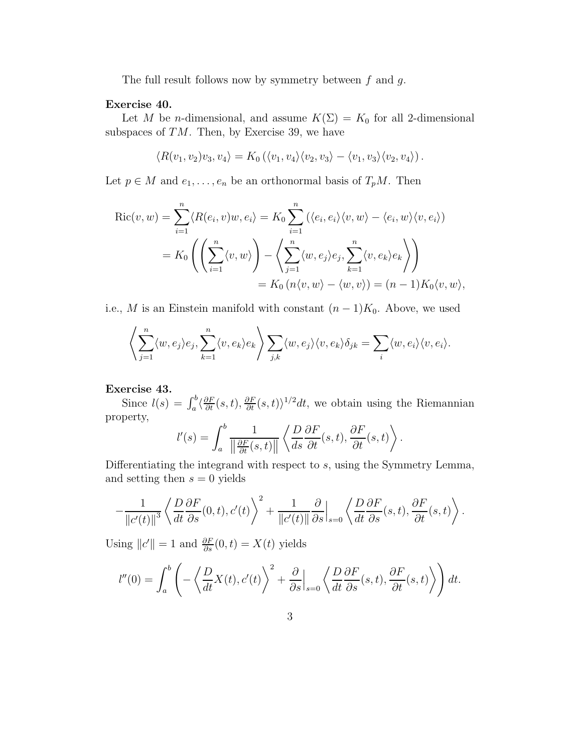The full result follows now by symmetry between  $f$  and  $g$ .

#### Exercise 40.

Let M be n-dimensional, and assume  $K(\Sigma) = K_0$  for all 2-dimensional subspaces of  $TM$ . Then, by Exercise 39, we have

$$
\langle R(v_1, v_2)v_3, v_4 \rangle = K_0 \left( \langle v_1, v_4 \rangle \langle v_2, v_3 \rangle - \langle v_1, v_3 \rangle \langle v_2, v_4 \rangle \right).
$$

Let  $p \in M$  and  $e_1, \ldots, e_n$  be an orthonormal basis of  $T_pM$ . Then

$$
Ric(v, w) = \sum_{i=1}^{n} \langle R(e_i, v)w, e_i \rangle = K_0 \sum_{i=1}^{n} (\langle e_i, e_i \rangle \langle v, w \rangle - \langle e_i, w \rangle \langle v, e_i \rangle)
$$
  
=  $K_0 \left( \left( \sum_{i=1}^{n} \langle v, w \rangle \right) - \left( \sum_{j=1}^{n} \langle w, e_j \rangle e_j, \sum_{k=1}^{n} \langle v, e_k \rangle e_k \right) \right)$   
=  $K_0 (n \langle v, w \rangle - \langle w, v \rangle) = (n - 1) K_0 \langle v, w \rangle$ ,

i.e., M is an Einstein manifold with constant  $(n-1)K_0$ . Above, we used

$$
\left\langle \sum_{j=1}^n \langle w, e_j \rangle e_j, \sum_{k=1}^n \langle v, e_k \rangle e_k \right\rangle \sum_{j,k} \langle w, e_j \rangle \langle v, e_k \rangle \delta_{jk} = \sum_i \langle w, e_i \rangle \langle v, e_i \rangle.
$$

### Exercise 43.

Since  $l(s) = \int_a^b \langle \frac{\partial F}{\partial t}(s,t), \frac{\partial F}{\partial t}(s,t) \rangle^{1/2} dt$ , we obtain using the Riemannian property,

$$
l'(s) = \int_a^b \frac{1}{\left\|\frac{\partial F}{\partial t}(s,t)\right\|} \left\langle \frac{D}{ds} \frac{\partial F}{\partial t}(s,t), \frac{\partial F}{\partial t}(s,t) \right\rangle.
$$

Differentiating the integrand with respect to s, using the Symmetry Lemma, and setting then  $s = 0$  yields

$$
-\frac{1}{\|c'(t)\|^3}\left\langle \frac{D}{dt}\frac{\partial F}{\partial s}(0,t),c'(t)\right\rangle^2+\frac{1}{\|c'(t)\|}\frac{\partial}{\partial s}\Big|_{s=0}\left\langle \frac{D}{dt}\frac{\partial F}{\partial s}(s,t),\frac{\partial F}{\partial t}(s,t)\right\rangle.
$$

Using  $||c'|| = 1$  and  $\frac{\partial F}{\partial s}(0, t) = X(t)$  yields

$$
l''(0) = \int_a^b \left( -\left\langle \frac{D}{dt} X(t), c'(t) \right\rangle^2 + \frac{\partial}{\partial s} \Big|_{s=0} \left\langle \frac{D}{dt} \frac{\partial F}{\partial s}(s, t), \frac{\partial F}{\partial t}(s, t) \right\rangle \right) dt.
$$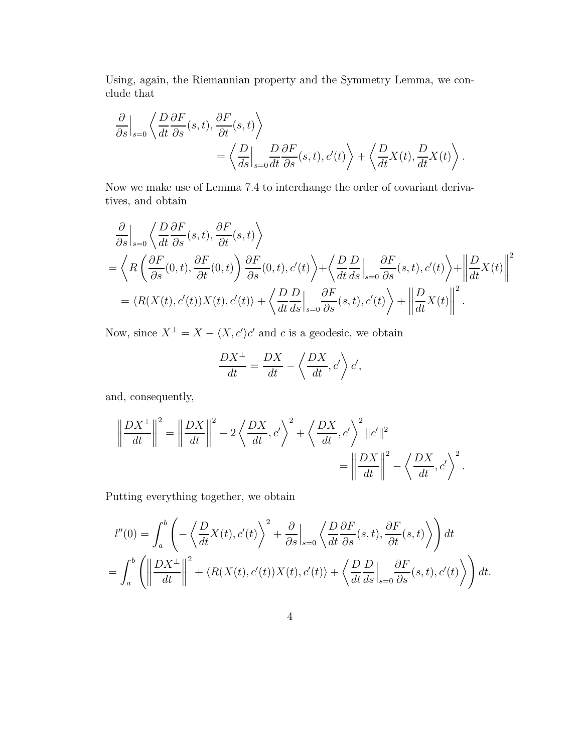Using, again, the Riemannian property and the Symmetry Lemma, we conclude that

$$
\frac{\partial}{\partial s}\Big|_{s=0} \left\langle \frac{D}{dt} \frac{\partial F}{\partial s}(s,t), \frac{\partial F}{\partial t}(s,t) \right\rangle \n= \left\langle \frac{D}{ds}\Big|_{s=0} \frac{D}{dt} \frac{\partial F}{\partial s}(s,t), c'(t) \right\rangle + \left\langle \frac{D}{dt} X(t), \frac{D}{dt} X(t) \right\rangle.
$$

Now we make use of Lemma 7.4 to interchange the order of covariant derivatives, and obtain

$$
\frac{\partial}{\partial s}\Big|_{s=0} \left\langle \frac{D}{dt} \frac{\partial F}{\partial s}(s,t), \frac{\partial F}{\partial t}(s,t) \right\rangle \n= \left\langle R \left( \frac{\partial F}{\partial s}(0,t), \frac{\partial F}{\partial t}(0,t) \right) \frac{\partial F}{\partial s}(0,t), c'(t) \right\rangle + \left\langle \frac{D}{dt} \frac{D}{ds}\Big|_{s=0} \frac{\partial F}{\partial s}(s,t), c'(t) \right\rangle + \left\| \frac{D}{dt} X(t) \right\|^2 \n= \left\langle R(X(t), c'(t)) X(t), c'(t) \right\rangle + \left\langle \frac{D}{dt} \frac{D}{ds}\Big|_{s=0} \frac{\partial F}{\partial s}(s,t), c'(t) \right\rangle + \left\| \frac{D}{dt} X(t) \right\|^2.
$$

Now, since  $X^{\perp} = X - \langle X, c' \rangle c'$  and c is a geodesic, we obtain

$$
\frac{DX^{\perp}}{dt} = \frac{DX}{dt} - \left\langle \frac{DX}{dt}, c' \right\rangle c',
$$

and, consequently,

$$
\left\|\frac{DX^{\perp}}{dt}\right\|^2 = \left\|\frac{DX}{dt}\right\|^2 - 2\left\langle\frac{DX}{dt}, c'\right\rangle^2 + \left\langle\frac{DX}{dt}, c'\right\rangle^2 \|c'\|^2
$$

$$
= \left\|\frac{DX}{dt}\right\|^2 - \left\langle\frac{DX}{dt}, c'\right\rangle^2.
$$

Putting everything together, we obtain

$$
l''(0) = \int_a^b \left( -\left\langle \frac{D}{dt} X(t), c'(t) \right\rangle^2 + \frac{\partial}{\partial s} \Big|_{s=0} \left\langle \frac{D}{dt} \frac{\partial F}{\partial s}(s, t), \frac{\partial F}{\partial t}(s, t) \right\rangle \right) dt
$$
  
= 
$$
\int_a^b \left( \left\| \frac{DX^\perp}{dt} \right\|^2 + \langle R(X(t), c'(t))X(t), c'(t) \rangle + \left\langle \frac{D}{dt} \frac{D}{ds} \Big|_{s=0} \frac{\partial F}{\partial s}(s, t), c'(t) \right\rangle \right) dt.
$$